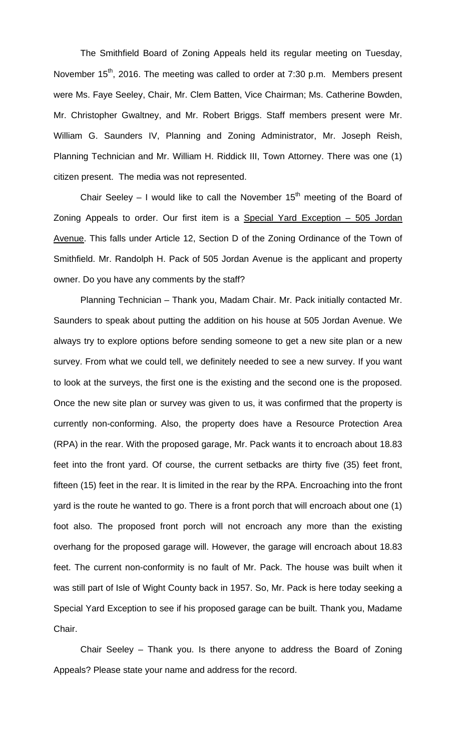The Smithfield Board of Zoning Appeals held its regular meeting on Tuesday, November 15<sup>th</sup>, 2016. The meeting was called to order at 7:30 p.m. Members present were Ms. Faye Seeley, Chair, Mr. Clem Batten, Vice Chairman; Ms. Catherine Bowden, Mr. Christopher Gwaltney, and Mr. Robert Briggs. Staff members present were Mr. William G. Saunders IV, Planning and Zoning Administrator, Mr. Joseph Reish, Planning Technician and Mr. William H. Riddick III, Town Attorney. There was one (1) citizen present. The media was not represented.

Chair Seeley – I would like to call the November  $15<sup>th</sup>$  meeting of the Board of Zoning Appeals to order. Our first item is a Special Yard Exception - 505 Jordan Avenue. This falls under Article 12, Section D of the Zoning Ordinance of the Town of Smithfield. Mr. Randolph H. Pack of 505 Jordan Avenue is the applicant and property owner. Do you have any comments by the staff?

Planning Technician – Thank you, Madam Chair. Mr. Pack initially contacted Mr. Saunders to speak about putting the addition on his house at 505 Jordan Avenue. We always try to explore options before sending someone to get a new site plan or a new survey. From what we could tell, we definitely needed to see a new survey. If you want to look at the surveys, the first one is the existing and the second one is the proposed. Once the new site plan or survey was given to us, it was confirmed that the property is currently non-conforming. Also, the property does have a Resource Protection Area (RPA) in the rear. With the proposed garage, Mr. Pack wants it to encroach about 18.83 feet into the front yard. Of course, the current setbacks are thirty five (35) feet front, fifteen (15) feet in the rear. It is limited in the rear by the RPA. Encroaching into the front yard is the route he wanted to go. There is a front porch that will encroach about one (1) foot also. The proposed front porch will not encroach any more than the existing overhang for the proposed garage will. However, the garage will encroach about 18.83 feet. The current non-conformity is no fault of Mr. Pack. The house was built when it was still part of Isle of Wight County back in 1957. So, Mr. Pack is here today seeking a Special Yard Exception to see if his proposed garage can be built. Thank you, Madame Chair.

Chair Seeley – Thank you. Is there anyone to address the Board of Zoning Appeals? Please state your name and address for the record.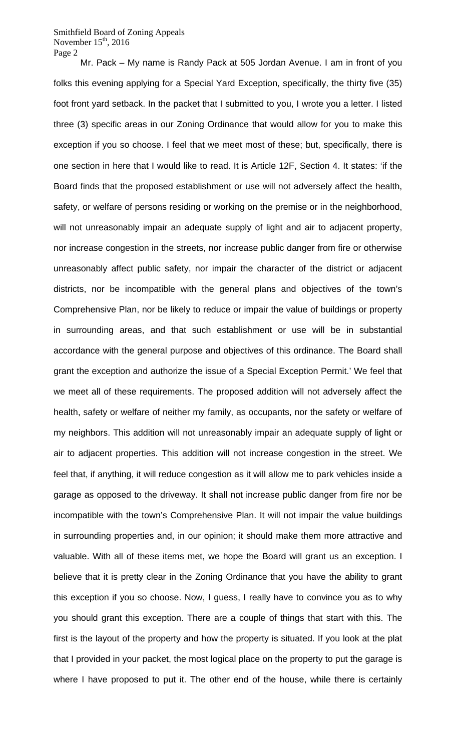Mr. Pack – My name is Randy Pack at 505 Jordan Avenue. I am in front of you folks this evening applying for a Special Yard Exception, specifically, the thirty five (35) foot front yard setback. In the packet that I submitted to you, I wrote you a letter. I listed three (3) specific areas in our Zoning Ordinance that would allow for you to make this exception if you so choose. I feel that we meet most of these; but, specifically, there is one section in here that I would like to read. It is Article 12F, Section 4. It states: 'if the Board finds that the proposed establishment or use will not adversely affect the health, safety, or welfare of persons residing or working on the premise or in the neighborhood, will not unreasonably impair an adequate supply of light and air to adjacent property, nor increase congestion in the streets, nor increase public danger from fire or otherwise unreasonably affect public safety, nor impair the character of the district or adjacent districts, nor be incompatible with the general plans and objectives of the town's Comprehensive Plan, nor be likely to reduce or impair the value of buildings or property in surrounding areas, and that such establishment or use will be in substantial accordance with the general purpose and objectives of this ordinance. The Board shall grant the exception and authorize the issue of a Special Exception Permit.' We feel that we meet all of these requirements. The proposed addition will not adversely affect the health, safety or welfare of neither my family, as occupants, nor the safety or welfare of my neighbors. This addition will not unreasonably impair an adequate supply of light or air to adjacent properties. This addition will not increase congestion in the street. We feel that, if anything, it will reduce congestion as it will allow me to park vehicles inside a garage as opposed to the driveway. It shall not increase public danger from fire nor be incompatible with the town's Comprehensive Plan. It will not impair the value buildings in surrounding properties and, in our opinion; it should make them more attractive and valuable. With all of these items met, we hope the Board will grant us an exception. I believe that it is pretty clear in the Zoning Ordinance that you have the ability to grant this exception if you so choose. Now, I guess, I really have to convince you as to why you should grant this exception. There are a couple of things that start with this. The first is the layout of the property and how the property is situated. If you look at the plat that I provided in your packet, the most logical place on the property to put the garage is where I have proposed to put it. The other end of the house, while there is certainly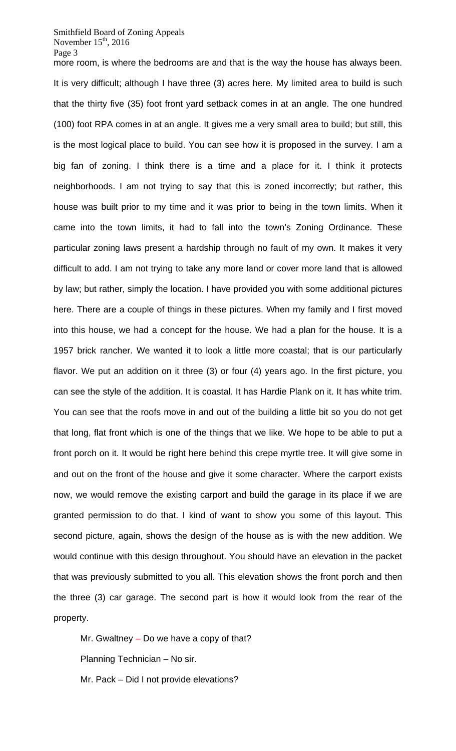more room, is where the bedrooms are and that is the way the house has always been. It is very difficult; although I have three (3) acres here. My limited area to build is such that the thirty five (35) foot front yard setback comes in at an angle. The one hundred (100) foot RPA comes in at an angle. It gives me a very small area to build; but still, this is the most logical place to build. You can see how it is proposed in the survey. I am a big fan of zoning. I think there is a time and a place for it. I think it protects neighborhoods. I am not trying to say that this is zoned incorrectly; but rather, this house was built prior to my time and it was prior to being in the town limits. When it came into the town limits, it had to fall into the town's Zoning Ordinance. These particular zoning laws present a hardship through no fault of my own. It makes it very difficult to add. I am not trying to take any more land or cover more land that is allowed by law; but rather, simply the location. I have provided you with some additional pictures here. There are a couple of things in these pictures. When my family and I first moved into this house, we had a concept for the house. We had a plan for the house. It is a 1957 brick rancher. We wanted it to look a little more coastal; that is our particularly flavor. We put an addition on it three (3) or four (4) years ago. In the first picture, you can see the style of the addition. It is coastal. It has Hardie Plank on it. It has white trim. You can see that the roofs move in and out of the building a little bit so you do not get that long, flat front which is one of the things that we like. We hope to be able to put a front porch on it. It would be right here behind this crepe myrtle tree. It will give some in and out on the front of the house and give it some character. Where the carport exists now, we would remove the existing carport and build the garage in its place if we are granted permission to do that. I kind of want to show you some of this layout. This second picture, again, shows the design of the house as is with the new addition. We would continue with this design throughout. You should have an elevation in the packet that was previously submitted to you all. This elevation shows the front porch and then the three (3) car garage. The second part is how it would look from the rear of the property.

Mr. Gwaltney – Do we have a copy of that? Planning Technician – No sir.

Mr. Pack – Did I not provide elevations?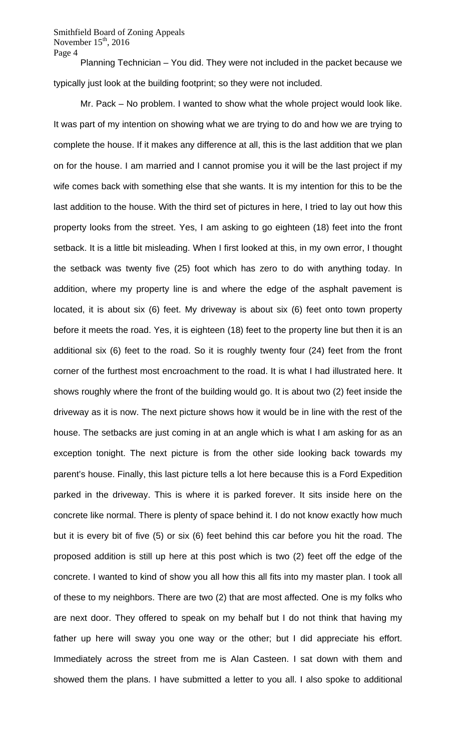Planning Technician – You did. They were not included in the packet because we typically just look at the building footprint; so they were not included.

Mr. Pack – No problem. I wanted to show what the whole project would look like. It was part of my intention on showing what we are trying to do and how we are trying to complete the house. If it makes any difference at all, this is the last addition that we plan on for the house. I am married and I cannot promise you it will be the last project if my wife comes back with something else that she wants. It is my intention for this to be the last addition to the house. With the third set of pictures in here, I tried to lay out how this property looks from the street. Yes, I am asking to go eighteen (18) feet into the front setback. It is a little bit misleading. When I first looked at this, in my own error, I thought the setback was twenty five (25) foot which has zero to do with anything today. In addition, where my property line is and where the edge of the asphalt pavement is located, it is about six (6) feet. My driveway is about six (6) feet onto town property before it meets the road. Yes, it is eighteen (18) feet to the property line but then it is an additional six (6) feet to the road. So it is roughly twenty four (24) feet from the front corner of the furthest most encroachment to the road. It is what I had illustrated here. It shows roughly where the front of the building would go. It is about two (2) feet inside the driveway as it is now. The next picture shows how it would be in line with the rest of the house. The setbacks are just coming in at an angle which is what I am asking for as an exception tonight. The next picture is from the other side looking back towards my parent's house. Finally, this last picture tells a lot here because this is a Ford Expedition parked in the driveway. This is where it is parked forever. It sits inside here on the concrete like normal. There is plenty of space behind it. I do not know exactly how much but it is every bit of five (5) or six (6) feet behind this car before you hit the road. The proposed addition is still up here at this post which is two (2) feet off the edge of the concrete. I wanted to kind of show you all how this all fits into my master plan. I took all of these to my neighbors. There are two (2) that are most affected. One is my folks who are next door. They offered to speak on my behalf but I do not think that having my father up here will sway you one way or the other; but I did appreciate his effort. Immediately across the street from me is Alan Casteen. I sat down with them and showed them the plans. I have submitted a letter to you all. I also spoke to additional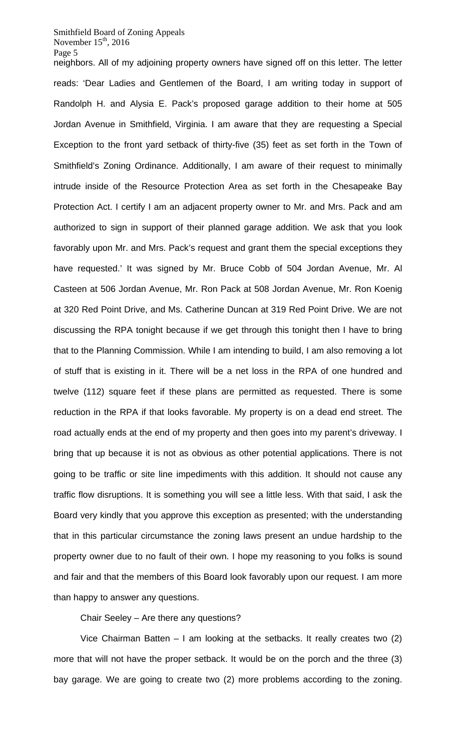neighbors. All of my adjoining property owners have signed off on this letter. The letter reads: 'Dear Ladies and Gentlemen of the Board, I am writing today in support of Randolph H. and Alysia E. Pack's proposed garage addition to their home at 505 Jordan Avenue in Smithfield, Virginia. I am aware that they are requesting a Special Exception to the front yard setback of thirty-five (35) feet as set forth in the Town of Smithfield's Zoning Ordinance. Additionally, I am aware of their request to minimally intrude inside of the Resource Protection Area as set forth in the Chesapeake Bay Protection Act. I certify I am an adjacent property owner to Mr. and Mrs. Pack and am authorized to sign in support of their planned garage addition. We ask that you look favorably upon Mr. and Mrs. Pack's request and grant them the special exceptions they have requested.' It was signed by Mr. Bruce Cobb of 504 Jordan Avenue, Mr. Al Casteen at 506 Jordan Avenue, Mr. Ron Pack at 508 Jordan Avenue, Mr. Ron Koenig at 320 Red Point Drive, and Ms. Catherine Duncan at 319 Red Point Drive. We are not discussing the RPA tonight because if we get through this tonight then I have to bring that to the Planning Commission. While I am intending to build, I am also removing a lot of stuff that is existing in it. There will be a net loss in the RPA of one hundred and twelve (112) square feet if these plans are permitted as requested. There is some reduction in the RPA if that looks favorable. My property is on a dead end street. The road actually ends at the end of my property and then goes into my parent's driveway. I bring that up because it is not as obvious as other potential applications. There is not going to be traffic or site line impediments with this addition. It should not cause any traffic flow disruptions. It is something you will see a little less. With that said, I ask the Board very kindly that you approve this exception as presented; with the understanding that in this particular circumstance the zoning laws present an undue hardship to the property owner due to no fault of their own. I hope my reasoning to you folks is sound and fair and that the members of this Board look favorably upon our request. I am more than happy to answer any questions.

Chair Seeley – Are there any questions?

Vice Chairman Batten – I am looking at the setbacks. It really creates two (2) more that will not have the proper setback. It would be on the porch and the three (3) bay garage. We are going to create two (2) more problems according to the zoning.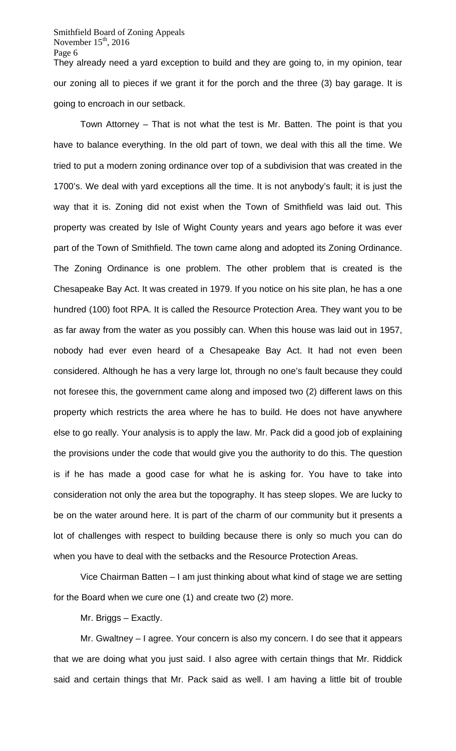Smithfield Board of Zoning Appeals November  $15<sup>th</sup>$ , 2016 Page 6 They already need a yard exception to build and they are going to, in my opinion, tear

our zoning all to pieces if we grant it for the porch and the three (3) bay garage. It is going to encroach in our setback.

Town Attorney – That is not what the test is Mr. Batten. The point is that you have to balance everything. In the old part of town, we deal with this all the time. We tried to put a modern zoning ordinance over top of a subdivision that was created in the 1700's. We deal with yard exceptions all the time. It is not anybody's fault; it is just the way that it is. Zoning did not exist when the Town of Smithfield was laid out. This property was created by Isle of Wight County years and years ago before it was ever part of the Town of Smithfield. The town came along and adopted its Zoning Ordinance. The Zoning Ordinance is one problem. The other problem that is created is the Chesapeake Bay Act. It was created in 1979. If you notice on his site plan, he has a one hundred (100) foot RPA. It is called the Resource Protection Area. They want you to be as far away from the water as you possibly can. When this house was laid out in 1957, nobody had ever even heard of a Chesapeake Bay Act. It had not even been considered. Although he has a very large lot, through no one's fault because they could not foresee this, the government came along and imposed two (2) different laws on this property which restricts the area where he has to build. He does not have anywhere else to go really. Your analysis is to apply the law. Mr. Pack did a good job of explaining the provisions under the code that would give you the authority to do this. The question is if he has made a good case for what he is asking for. You have to take into consideration not only the area but the topography. It has steep slopes. We are lucky to be on the water around here. It is part of the charm of our community but it presents a lot of challenges with respect to building because there is only so much you can do when you have to deal with the setbacks and the Resource Protection Areas.

Vice Chairman Batten – I am just thinking about what kind of stage we are setting for the Board when we cure one (1) and create two (2) more.

Mr. Briggs – Exactly.

Mr. Gwaltney – I agree. Your concern is also my concern. I do see that it appears that we are doing what you just said. I also agree with certain things that Mr. Riddick said and certain things that Mr. Pack said as well. I am having a little bit of trouble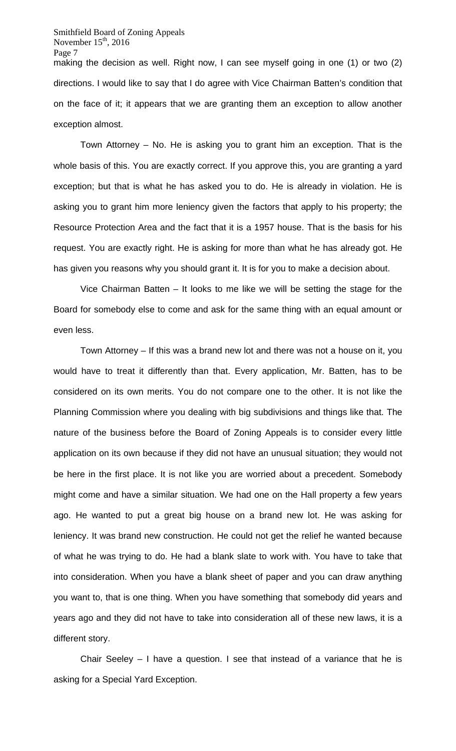Smithfield Board of Zoning Appeals November  $15<sup>th</sup>$ , 2016 Page 7 making the decision as well. Right now, I can see myself going in one (1) or two (2) directions. I would like to say that I do agree with Vice Chairman Batten's condition that on the face of it; it appears that we are granting them an exception to allow another exception almost.

Town Attorney – No. He is asking you to grant him an exception. That is the whole basis of this. You are exactly correct. If you approve this, you are granting a yard exception; but that is what he has asked you to do. He is already in violation. He is asking you to grant him more leniency given the factors that apply to his property; the Resource Protection Area and the fact that it is a 1957 house. That is the basis for his request. You are exactly right. He is asking for more than what he has already got. He has given you reasons why you should grant it. It is for you to make a decision about.

Vice Chairman Batten – It looks to me like we will be setting the stage for the Board for somebody else to come and ask for the same thing with an equal amount or even less.

Town Attorney – If this was a brand new lot and there was not a house on it, you would have to treat it differently than that. Every application, Mr. Batten, has to be considered on its own merits. You do not compare one to the other. It is not like the Planning Commission where you dealing with big subdivisions and things like that. The nature of the business before the Board of Zoning Appeals is to consider every little application on its own because if they did not have an unusual situation; they would not be here in the first place. It is not like you are worried about a precedent. Somebody might come and have a similar situation. We had one on the Hall property a few years ago. He wanted to put a great big house on a brand new lot. He was asking for leniency. It was brand new construction. He could not get the relief he wanted because of what he was trying to do. He had a blank slate to work with. You have to take that into consideration. When you have a blank sheet of paper and you can draw anything you want to, that is one thing. When you have something that somebody did years and years ago and they did not have to take into consideration all of these new laws, it is a different story.

Chair Seeley – I have a question. I see that instead of a variance that he is asking for a Special Yard Exception.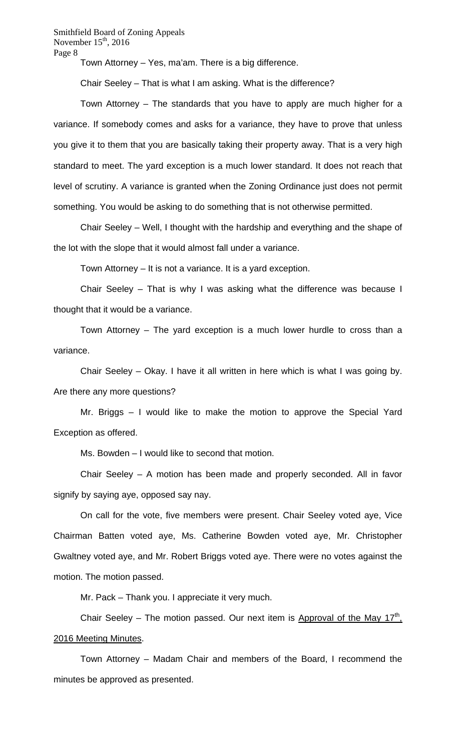Town Attorney – Yes, ma'am. There is a big difference.

Chair Seeley – That is what I am asking. What is the difference?

Town Attorney – The standards that you have to apply are much higher for a variance. If somebody comes and asks for a variance, they have to prove that unless you give it to them that you are basically taking their property away. That is a very high standard to meet. The yard exception is a much lower standard. It does not reach that level of scrutiny. A variance is granted when the Zoning Ordinance just does not permit something. You would be asking to do something that is not otherwise permitted.

Chair Seeley – Well, I thought with the hardship and everything and the shape of the lot with the slope that it would almost fall under a variance.

Town Attorney – It is not a variance. It is a yard exception.

Chair Seeley – That is why I was asking what the difference was because I thought that it would be a variance.

Town Attorney – The yard exception is a much lower hurdle to cross than a variance.

Chair Seeley – Okay. I have it all written in here which is what I was going by. Are there any more questions?

Mr. Briggs – I would like to make the motion to approve the Special Yard Exception as offered.

Ms. Bowden – I would like to second that motion.

Chair Seeley – A motion has been made and properly seconded. All in favor signify by saying aye, opposed say nay.

On call for the vote, five members were present. Chair Seeley voted aye, Vice Chairman Batten voted aye, Ms. Catherine Bowden voted aye, Mr. Christopher Gwaltney voted aye, and Mr. Robert Briggs voted aye. There were no votes against the motion. The motion passed.

Mr. Pack – Thank you. I appreciate it very much.

Chair Seeley – The motion passed. Our next item is Approval of the May  $17<sup>th</sup>$ , 2016 Meeting Minutes.

Town Attorney – Madam Chair and members of the Board, I recommend the minutes be approved as presented.